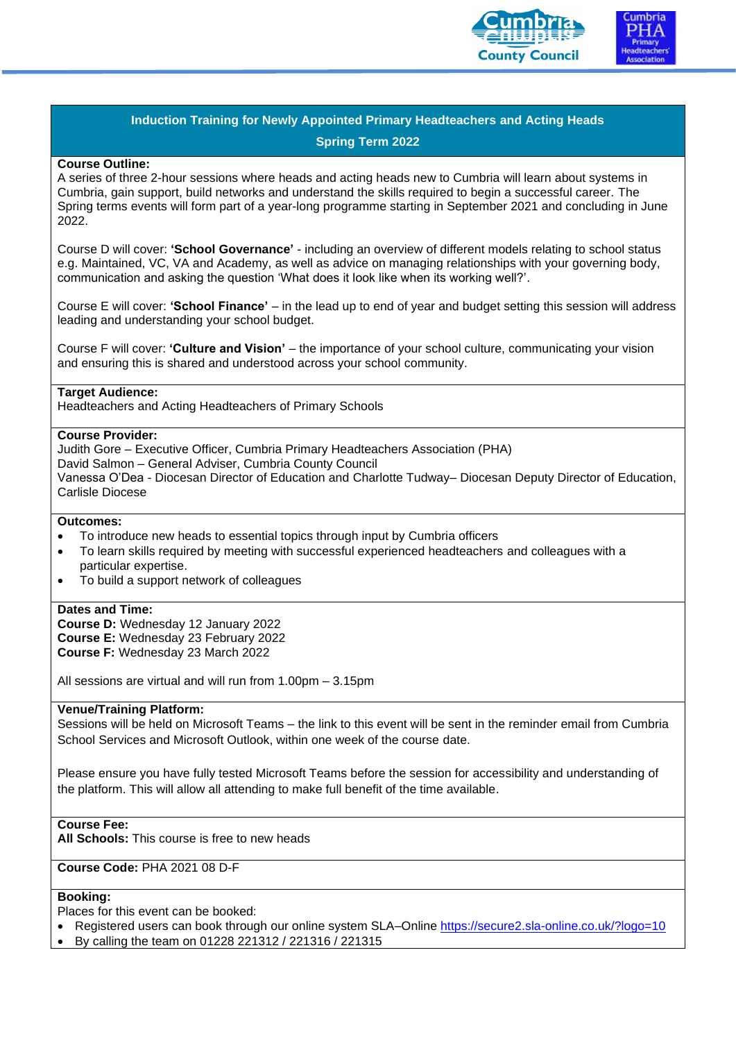



#### **Course Outline:**

A series of three 2-hour sessions where heads and acting heads new to Cumbria will learn about systems in Cumbria, gain support, build networks and understand the skills required to begin a successful career. The Spring terms events will form part of a year-long programme starting in September 2021 and concluding in June 2022.

Course D will cover: **'School Governance'** - including an overview of different models relating to school status e.g. Maintained, VC, VA and Academy, as well as advice on managing relationships with your governing body, communication and asking the question 'What does it look like when its working well?'.

Course E will cover: **'School Finance'** – in the lead up to end of year and budget setting this session will address leading and understanding your school budget.

Course F will cover: **'Culture and Vision'** – the importance of your school culture, communicating your vision and ensuring this is shared and understood across your school community.

### **Target Audience:**

Headteachers and Acting Headteachers of Primary Schools

#### **Course Provider:**

Judith Gore – Executive Officer, Cumbria Primary Headteachers Association (PHA) David Salmon – General Adviser, Cumbria County Council Vanessa O'Dea - Diocesan Director of Education and Charlotte Tudway– Diocesan Deputy Director of Education, Carlisle Diocese

# **Outcomes:**

- To introduce new heads to essential topics through input by Cumbria officers
- To learn skills required by meeting with successful experienced headteachers and colleagues with a particular expertise.
- To build a support network of colleagues

### **Dates and Time:**

**Course D:** Wednesday 12 January 2022 **Course E:** Wednesday 23 February 2022 **Course F:** Wednesday 23 March 2022

All sessions are virtual and will run from 1.00pm – 3.15pm

## **Venue/Training Platform:**

Sessions will be held on Microsoft Teams – the link to this event will be sent in the reminder email from Cumbria School Services and Microsoft Outlook, within one week of the course date.

Please ensure you have fully tested Microsoft Teams before the session for accessibility and understanding of the platform. This will allow all attending to make full benefit of the time available.

**Course Fee:** 

**All Schools:** This course is free to new heads

**Course Code:** PHA 2021 08 D-F

## **Booking:**

Places for this event can be booked:

- Registered users can book through our online system SLA–Online<https://secure2.sla-online.co.uk/?logo=10>
- By calling the team on 01228 221312 / 221316 / 221315